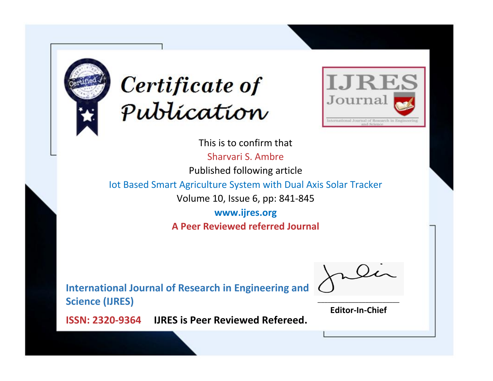



This is to confirm that Sharvari S. Ambre Published following article Iot Based Smart Agriculture System with Dual Axis Solar Tracker Volume 10, Issue 6, pp: 841-845 **www.ijres.org A Peer Reviewed referred Journal**

**International Journal of Research in Engineering and Science (IJRES)**

\_\_\_\_\_\_\_\_\_\_\_\_\_\_\_\_\_\_\_\_\_\_\_\_ **Editor-In-Chief**

**Journal.**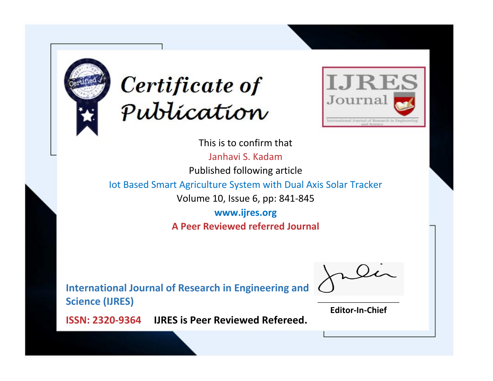



This is to confirm that Janhavi S. Kadam Published following article

Iot Based Smart Agriculture System with Dual Axis Solar Tracker

Volume 10, Issue 6, pp: 841-845

**www.ijres.org A Peer Reviewed referred Journal**

**International Journal of Research in Engineering and Science (IJRES)**

\_\_\_\_\_\_\_\_\_\_\_\_\_\_\_\_\_\_\_\_\_\_\_\_ **Editor-In-Chief**

**Journal.**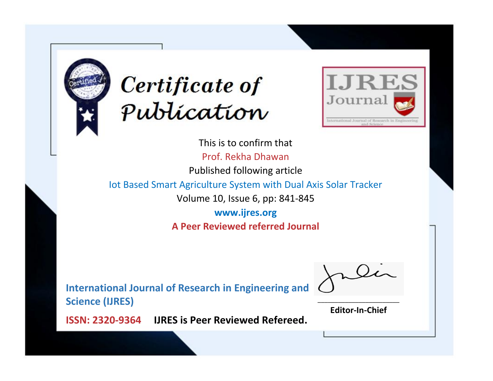



This is to confirm that Prof. Rekha Dhawan Published following article Iot Based Smart Agriculture System with Dual Axis Solar Tracker Volume 10, Issue 6, pp: 841-845 **www.ijres.org A Peer Reviewed referred Journal**

**International Journal of Research in Engineering and Science (IJRES)**

\_\_\_\_\_\_\_\_\_\_\_\_\_\_\_\_\_\_\_\_\_\_\_\_ **Editor-In-Chief**

**Journal.**